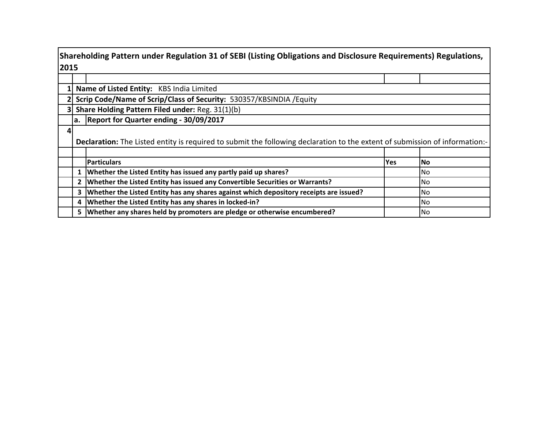|      | Shareholding Pattern under Regulation 31 of SEBI (Listing Obligations and Disclosure Requirements) Regulations, |                                                                                                                             |            |      |  |  |  |  |  |  |  |  |  |  |
|------|-----------------------------------------------------------------------------------------------------------------|-----------------------------------------------------------------------------------------------------------------------------|------------|------|--|--|--|--|--|--|--|--|--|--|
| 2015 |                                                                                                                 |                                                                                                                             |            |      |  |  |  |  |  |  |  |  |  |  |
|      |                                                                                                                 |                                                                                                                             |            |      |  |  |  |  |  |  |  |  |  |  |
|      | Name of Listed Entity: KBS India Limited                                                                        |                                                                                                                             |            |      |  |  |  |  |  |  |  |  |  |  |
|      | Scrip Code/Name of Scrip/Class of Security: 530357/KBSINDIA / Equity                                            |                                                                                                                             |            |      |  |  |  |  |  |  |  |  |  |  |
|      |                                                                                                                 | Share Holding Pattern Filed under: Reg. 31(1)(b)                                                                            |            |      |  |  |  |  |  |  |  |  |  |  |
|      |                                                                                                                 | a. Report for Quarter ending - 30/09/2017                                                                                   |            |      |  |  |  |  |  |  |  |  |  |  |
|      |                                                                                                                 |                                                                                                                             |            |      |  |  |  |  |  |  |  |  |  |  |
|      |                                                                                                                 | Declaration: The Listed entity is required to submit the following declaration to the extent of submission of information:- |            |      |  |  |  |  |  |  |  |  |  |  |
|      |                                                                                                                 |                                                                                                                             |            |      |  |  |  |  |  |  |  |  |  |  |
|      |                                                                                                                 | <b>Particulars</b>                                                                                                          | <b>Yes</b> | l No |  |  |  |  |  |  |  |  |  |  |
|      |                                                                                                                 | Whether the Listed Entity has issued any partly paid up shares?                                                             |            | No.  |  |  |  |  |  |  |  |  |  |  |
|      |                                                                                                                 | Whether the Listed Entity has issued any Convertible Securities or Warrants?                                                |            | No.  |  |  |  |  |  |  |  |  |  |  |
|      | 3                                                                                                               | Whether the Listed Entity has any shares against which depository receipts are issued?                                      |            | No   |  |  |  |  |  |  |  |  |  |  |
|      | 4                                                                                                               | Whether the Listed Entity has any shares in locked-in?                                                                      |            | No.  |  |  |  |  |  |  |  |  |  |  |
|      |                                                                                                                 | 5   Whether any shares held by promoters are pledge or otherwise encumbered?                                                |            | No.  |  |  |  |  |  |  |  |  |  |  |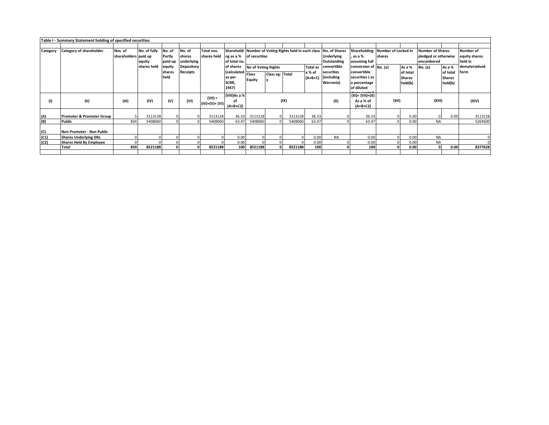|          | Table I - Summary Statement holding of specified securities |                                 |                        |                             |                                |                             |                                                      |                                                                                                |                 |         |                           |                                                                      |                                                                                      |                                            |                                                |                                                               |                                                |                                              |
|----------|-------------------------------------------------------------|---------------------------------|------------------------|-----------------------------|--------------------------------|-----------------------------|------------------------------------------------------|------------------------------------------------------------------------------------------------|-----------------|---------|---------------------------|----------------------------------------------------------------------|--------------------------------------------------------------------------------------|--------------------------------------------|------------------------------------------------|---------------------------------------------------------------|------------------------------------------------|----------------------------------------------|
|          |                                                             |                                 |                        |                             |                                |                             |                                                      |                                                                                                |                 |         |                           |                                                                      |                                                                                      |                                            |                                                |                                                               |                                                |                                              |
| Category | <b>Category of shareholder</b>                              | Nos. of<br>shareholders paid up | No. of fully<br>equity | No. of<br>Partly<br>paid-up | No. of<br>shares<br>underlying | Total nos.<br>shares held   | of total no.                                         | Shareholdi Number of Voting Rights held in each class No. of Shares<br>ng as a % of securities |                 |         |                           | <b>Underlying</b><br>Outstanding                                     | , as a %<br>assuming full                                                            | Shareholding Number of Locked in<br>shares |                                                | <b>Number of Shares</b><br>pledged or otherwise<br>encumbered |                                                | <b>Number of</b><br>equity shares<br>held in |
|          |                                                             |                                 | shares held            | equity<br>shares<br>held    | Depository<br>Receipts         |                             | of shares<br>(calculated<br>as per<br>SCRR,<br>1957) | <b>No of Voting Rights</b><br><b>Class</b><br>Equity                                           | Class eg: Total |         | <b>Total as</b><br>a % of | convertible<br>securities<br>(A+B+C) (including<br><b>Warrants</b> ) | conversion of No. (a)<br>convertible<br>securities (as<br>a percentage<br>of diluted |                                            | As a %<br>of total<br><b>Shares</b><br>held(b) | No. (a)                                                       | As a %<br>of total<br><b>Shares</b><br>held(b) | dematerialised<br>form                       |
| (1)      | (II)                                                        | (III)                           | (IV)                   | (V)                         | (VI)                           | $(VII) =$<br>(IV)+(V)+ (VI) | (VIII)As a %<br>οf<br>$(A+B+C2)$                     | (IX)                                                                                           |                 |         |                           | $(XI) = (VII)+(X)$<br>(X)<br>As a % of<br>(A+B+C2)                   |                                                                                      | (XII)                                      |                                                | (XIII)                                                        |                                                | (XIV)                                        |
| (A)      | <b>Promoter &amp; Promoter Group</b>                        |                                 | 3113128                |                             |                                | 3113128                     | 36.53                                                | 3113128                                                                                        |                 | 3113128 | 36.53                     |                                                                      | 36.53                                                                                |                                            | 0.00                                           |                                                               | 0.00                                           | 3113128                                      |
| (B)      | <b>Public</b>                                               | 834                             | 5408060                |                             |                                | 5408060                     | 63.47                                                | 5408060                                                                                        |                 | 5408060 | 63.47                     |                                                                      | 63.47                                                                                |                                            | 0.00                                           | <b>NA</b>                                                     |                                                | 5264500                                      |
| (C)      | Non Promoter - Non Public                                   |                                 |                        |                             |                                |                             |                                                      |                                                                                                |                 |         |                           |                                                                      |                                                                                      |                                            |                                                |                                                               |                                                |                                              |
| (C1)     | <b>Shares Underlying DRs</b>                                |                                 |                        |                             |                                |                             | 0.00                                                 |                                                                                                |                 |         | 0.00                      | <b>NA</b>                                                            | 0.00                                                                                 |                                            | 0.00                                           | <b>NA</b>                                                     |                                                |                                              |
| (C2)     | <b>Shares Held By Employee</b><br>Total                     | 839                             | 8521188                |                             |                                | 8521188                     | 0.00<br>100                                          | 8521188                                                                                        |                 | 8521188 | 0.00<br>100               |                                                                      | 0.00<br>100                                                                          |                                            | 0.00<br>0.00                                   | <b>NA</b>                                                     | 0.00                                           | 8377628                                      |
|          |                                                             |                                 |                        |                             |                                |                             |                                                      |                                                                                                |                 |         |                           |                                                                      |                                                                                      |                                            |                                                |                                                               |                                                |                                              |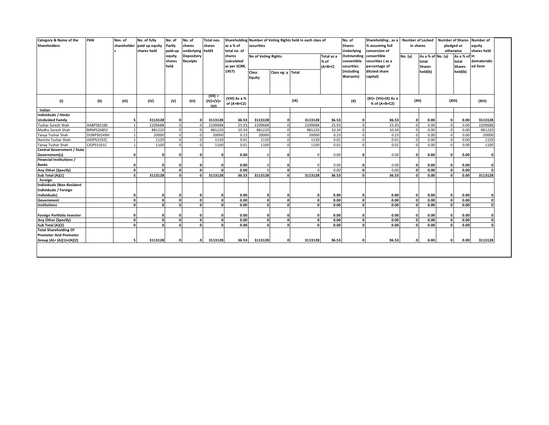| Category & Name of the<br><b>Shareholders</b>  | PAN               | Nos. of    | No. of fully<br>shareholder paid up equity<br>shares held | No. of<br>Partly<br>paid-up<br>equity | No. of<br>shares<br>underlying heldS<br>Depository | Total nos.<br>shares             | as a % of<br>total no. of<br>shares | securities                    |                   | Shareholding Number of Voting Rights held in each class of | Total as a                               | No. of<br><b>Shares</b><br><b>Underlying</b><br>Outstanding | Shareholding, as a Number of Locked<br>% assuming full<br>conversion of<br>convertible | in shares<br>No. (a)   |         | <b>Number of Shares</b><br>pledged or<br>otherwise<br>As a % of in<br>As a % of No. (a) |                         | <b>Number of</b><br>equity<br>shares held |  |
|------------------------------------------------|-------------------|------------|-----------------------------------------------------------|---------------------------------------|----------------------------------------------------|----------------------------------|-------------------------------------|-------------------------------|-------------------|------------------------------------------------------------|------------------------------------------|-------------------------------------------------------------|----------------------------------------------------------------------------------------|------------------------|---------|-----------------------------------------------------------------------------------------|-------------------------|-------------------------------------------|--|
|                                                |                   |            |                                                           | shares<br>held                        | <b>Receipts</b>                                    |                                  | <i>(calculated</i><br>as per SCRR,  | No of Voting Rights           |                   | % of<br>$(A+B+C)$                                          | convertible<br>securities                | securities (as a<br>percentage of                           |                                                                                        | total<br><b>Shares</b> |         | total<br><b>Shares</b>                                                                  | dematerialis<br>ed form |                                           |  |
|                                                |                   |            |                                                           |                                       |                                                    |                                  | 1957)                               | <b>Class</b><br><b>Equity</b> | Class eg: y Total |                                                            |                                          | (including<br>Warrants)                                     | diluted share<br>capital)                                                              |                        | held(b) | held(b)                                                                                 |                         |                                           |  |
| (1)                                            | (II)              | (III)      | (IV)                                                      | (V)                                   | (VI)                                               | $(VII) =$<br>$(IV)+(V)+$<br>(MI) | (VIII) As a %<br>of $(A+B+C2)$      | (IX)                          |                   | (X)                                                        | $(XI) = (VII)+(X) As a$<br>% of (A+B+C2) | (XII)                                                       |                                                                                        | (XIII)                 |         | (XIV)                                                                                   |                         |                                           |  |
| Indian                                         |                   |            |                                                           |                                       |                                                    |                                  |                                     |                               |                   |                                                            |                                          |                                                             |                                                                                        |                        |         |                                                                                         |                         |                                           |  |
| Individuals / Hindu<br><b>Undivided Family</b> |                   |            | 3113128                                                   | $\Omega$                              |                                                    | 3113128                          | 36.53                               | 3113128                       | $\mathbf{o}$      | 3113128                                                    | 36.53                                    |                                                             | 36.53                                                                                  | C                      | 0.00    | $\mathbf{0}$                                                                            | 0.00                    | 3113128                                   |  |
| Tushar Suresh Shah                             | AABPS6518C        |            | 2209688                                                   | $\Omega$                              |                                                    | 2209688                          | 25.93                               | 2209688                       | $\Omega$          | 2209688                                                    | 25.93                                    |                                                             | 25.93                                                                                  | $\Omega$               | 0.00    | $\mathbf{0}$                                                                            | 0.00                    | 2209688                                   |  |
| Madhu Suresh Shah                              | <b>BRNPS2685C</b> |            | 881220                                                    | $\Omega$                              |                                                    | 881220                           | 10.34                               | 881220                        | $\Omega$          | 881220                                                     | 10.34                                    |                                                             | 10.34                                                                                  | $\mathcal{C}$          | 0.00    | $\Omega$                                                                                | 0.00                    | 881220                                    |  |
| Tanya Tushar Shah                              | DONPS0249H        |            | 20000                                                     | $\mathbf 0$                           |                                                    | 20000                            | 0.23                                | 20000                         | $\mathbf{0}$      | 20000                                                      | 0.23                                     |                                                             | 0.23                                                                                   | <sub>c</sub>           | 0.00    | $\Omega$                                                                                | 0.00                    | 20000                                     |  |
| Namita Tushar Shah                             | AXSPS3192C        |            | 1120                                                      | $\Omega$                              |                                                    | 1120                             | 0.01                                | 1120                          | $\Omega$          | 1120                                                       | 0.01                                     |                                                             | 0.01                                                                                   | £                      | 0.00    |                                                                                         | 0.00                    | 1120                                      |  |
| Tanay Tushar Shah                              | CIOPS3101C        |            | 1100                                                      | $\Omega$                              |                                                    | 1100                             | 0.01                                | 1100                          | $\Omega$          | 1100                                                       | 0.01                                     |                                                             | 0.01                                                                                   | $\Omega$               | 0.00    | $\Omega$                                                                                | 0.00                    | 1100                                      |  |
| <b>Central Government / State</b>              |                   |            |                                                           |                                       |                                                    |                                  |                                     |                               |                   |                                                            |                                          |                                                             |                                                                                        |                        |         |                                                                                         |                         |                                           |  |
| Government(s)                                  |                   |            |                                                           | $\Omega$                              |                                                    | n                                | 0.00                                |                               |                   |                                                            | 0.00                                     |                                                             | 0.00                                                                                   | $\Omega$               | 0.00    | $\Omega$                                                                                | 0.00                    |                                           |  |
| <b>Financial Institutions /</b>                |                   |            |                                                           |                                       |                                                    |                                  |                                     |                               |                   |                                                            |                                          |                                                             |                                                                                        |                        |         |                                                                                         |                         |                                           |  |
| <b>Banks</b>                                   |                   |            |                                                           | $\Omega$                              |                                                    |                                  | 0.00                                | $\Omega$                      |                   |                                                            | 0.00                                     |                                                             | 0.00                                                                                   |                        | 0.00    | $\mathbf{0}$                                                                            | 0.00                    |                                           |  |
| Any Other (Specify)                            |                   | $\Omega$   |                                                           | $\Omega$                              |                                                    | $\Omega$                         | 0.00                                | $\Omega$                      | $\mathbf{0}$      | $\Omega$                                                   | 0.00                                     | $\Omega$                                                    | 0.00                                                                                   | $\Omega$               | 0.00    | $\mathbf{0}$                                                                            | 0.00                    |                                           |  |
| Sub Total (A)(1)                               |                   | <b>c</b>   | 3113128                                                   | $\sqrt{2}$                            |                                                    | 3113128                          | 36.53                               | 3113128                       | $\Omega$          | 3113128                                                    | 36.53                                    |                                                             | 36.53                                                                                  | £                      | 0.00    | $\sqrt{2}$                                                                              | 0.00                    | 3113128                                   |  |
| Foreign                                        |                   |            |                                                           |                                       |                                                    |                                  |                                     |                               |                   |                                                            |                                          |                                                             |                                                                                        |                        |         |                                                                                         |                         |                                           |  |
| <b>Individuals (Non-Resident</b>               |                   |            |                                                           |                                       |                                                    |                                  |                                     |                               |                   |                                                            |                                          |                                                             |                                                                                        |                        |         |                                                                                         |                         |                                           |  |
| Individuals / Foreign                          |                   |            |                                                           |                                       |                                                    |                                  |                                     |                               |                   |                                                            |                                          |                                                             |                                                                                        |                        |         |                                                                                         |                         |                                           |  |
| Individuals)                                   |                   |            |                                                           | $\mathbf{0}$                          |                                                    | $\Omega$                         | 0.00                                | $\mathbf{0}$                  | 0                 | $\Omega$                                                   | 0.00                                     |                                                             | 0.00                                                                                   | $\Omega$               | 0.00    | $\mathbf{o}$                                                                            | 0.00                    |                                           |  |
| Government                                     |                   | 0          | $\mathbf{r}$                                              | $\Omega$                              | $\sqrt{2}$                                         | $\mathbf{0}$                     | 0.00                                | $\overline{0}$                | $\mathbf{0}$      | $\mathbf 0$                                                | 0.00                                     | $\Omega$                                                    | 0.00                                                                                   | $\Omega$               | 0.00    | $\mathbf{0}$                                                                            | 0.00                    |                                           |  |
| <b>Institutions</b>                            |                   | $\sqrt{2}$ |                                                           | $\mathbf{a}$                          |                                                    |                                  | 0.00                                | <sub>0</sub>                  | $\Omega$          | $\Omega$                                                   | 0.00                                     |                                                             | 0.00                                                                                   | £                      | 0.00    | $\mathbf{r}$                                                                            | 0.00                    |                                           |  |
| Foreign Portfolio Investor                     |                   |            |                                                           | $\Omega$                              |                                                    | n                                | 0.00                                | $\mathbf{0}$                  |                   | 0                                                          | 0.00                                     |                                                             | 0.00                                                                                   | ٢                      | 0.00    | $\Omega$                                                                                | 0.00                    |                                           |  |
| Any Other (Specify)                            |                   | $\Omega$   | n                                                         | $\Omega$                              | n                                                  | $\Omega$                         | 0.00                                | 0                             | $\mathbf{0}$      | $\mathbf 0$                                                | 0.00                                     | $\Omega$                                                    | 0.00                                                                                   | $\Omega$               | 0.00    | $\Omega$                                                                                | 0.00                    |                                           |  |
| Sub Total (A)(2)                               |                   | $\Omega$   | n                                                         | $\Omega$                              | $\sqrt{2}$                                         | $\sqrt{2}$                       | 0.00                                | 0                             | $\mathbf{0}$      | $\mathbf{0}$                                               | 0.00                                     | $\Omega$                                                    | 0.00                                                                                   | $\Omega$               | 0.00    | $\Omega$                                                                                | 0.00                    |                                           |  |
| <b>Total Shareholding Of</b>                   |                   |            |                                                           |                                       |                                                    |                                  |                                     |                               |                   |                                                            |                                          |                                                             |                                                                                        |                        |         |                                                                                         |                         |                                           |  |
| <b>Promoter And Promoter</b>                   |                   |            |                                                           |                                       |                                                    |                                  |                                     |                               |                   |                                                            |                                          |                                                             |                                                                                        |                        |         |                                                                                         |                         |                                           |  |
| Group (A)= (A)(1)+(A)(2)                       |                   |            | 3113128                                                   | 0                                     | $\Omega$                                           | 3113128                          | 36.53                               | 3113128                       | $\mathbf{0}$      | 3113128                                                    | 36.53                                    | n                                                           | 36.53                                                                                  | $\Omega$               | 0.00    | $\mathbf{0}$                                                                            | 0.00                    | 3113128                                   |  |
|                                                |                   |            |                                                           |                                       |                                                    |                                  |                                     |                               |                   |                                                            |                                          |                                                             |                                                                                        |                        |         |                                                                                         |                         |                                           |  |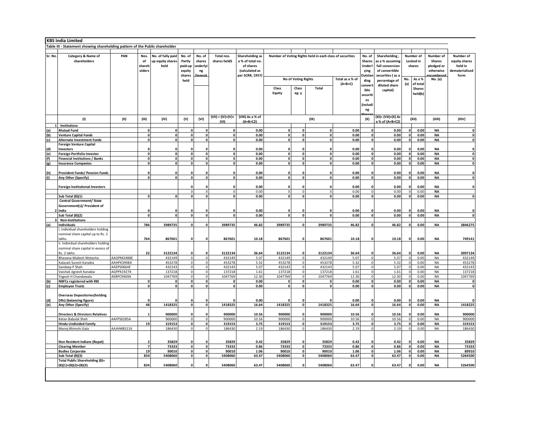|        | <b>KBS India Limited</b>                                                     |            |                   |                   |              |                     |              |                                      |          |                            |                                                          |                 |              |                    |              |               |                        |                |
|--------|------------------------------------------------------------------------------|------------|-------------------|-------------------|--------------|---------------------|--------------|--------------------------------------|----------|----------------------------|----------------------------------------------------------|-----------------|--------------|--------------------|--------------|---------------|------------------------|----------------|
|        | Table III - Statement showing shareholding pattern of the Public shareholder |            |                   |                   |              |                     |              |                                      |          |                            |                                                          |                 |              |                    |              |               |                        |                |
|        |                                                                              |            |                   |                   |              |                     |              |                                      |          |                            |                                                          |                 |              |                    |              |               |                        |                |
| Sr. No | Category & Name of                                                           | PAN        | Nos.              | No. of fully paid | No. of       | No. of              | Total nos.   | Shareholding as                      |          |                            | Number of Voting Rights held in each class of securities |                 | No. of       | Shareholding,      |              | Number of     | Number of              | Number of      |
|        | shareholders                                                                 |            | of                | up equity shares  | Partly       | shares              | shares heldS | a % of total no.                     | Shares   |                            |                                                          |                 |              | as a % assuming    | Locked in    |               | Shares                 | equity shares  |
|        |                                                                              |            | shareh            | held              | paid-up      | underlyi            |              | of shares                            |          |                            |                                                          |                 | Underl       | full conversion    | shares       |               | pledged or             | held in        |
|        |                                                                              |            | olders            |                   | equity       | ng                  |              | (calculated as                       |          |                            |                                                          |                 | ying         | of convertible     |              |               | otherwise              | dematerialised |
|        |                                                                              |            |                   |                   | shares       |                     |              | per SCRR, 1957)                      |          |                            |                                                          |                 | Outstar      | securities (as a   |              |               |                        | form           |
|        |                                                                              |            |                   |                   | held         |                     |              |                                      |          | <b>No of Voting Rights</b> |                                                          | Total as a % of | ding         | percentage of      | No.          | As a %        | No. (a)                |                |
|        |                                                                              |            |                   |                   |              |                     |              |                                      |          |                            |                                                          | $(A+B+C)$       | convert      | diluted share      | (a)          | of total      |                        |                |
|        |                                                                              |            |                   |                   |              |                     |              |                                      | Class    | Class                      | Total                                                    |                 | ible         | capital)           |              | <b>Shares</b> |                        |                |
|        |                                                                              |            |                   |                   |              |                     |              |                                      | Equity   | eg: y                      |                                                          |                 | securiti     |                    |              | held(b)       |                        |                |
|        |                                                                              |            |                   |                   |              |                     |              |                                      |          |                            |                                                          |                 | es           |                    |              |               |                        |                |
|        |                                                                              |            |                   |                   |              |                     |              |                                      |          |                            |                                                          |                 | (includi     |                    |              |               |                        |                |
|        |                                                                              |            |                   |                   |              |                     |              |                                      |          |                            |                                                          |                 | ng           |                    |              |               |                        |                |
|        |                                                                              |            |                   |                   |              |                     |              |                                      |          |                            |                                                          |                 |              |                    |              |               |                        |                |
|        | (1)                                                                          | (II)       | (III)             | (IV)              | (V)          | (VI)                |              | $(VII) = (IV)+(V)+ (VIII)$ As a % of |          |                            | (IX)                                                     |                 | (X)          | (XI)= (VII)+(X) As |              | (XII)         | (XIII)                 | (XIV)          |
|        |                                                                              |            |                   |                   |              |                     | (v)          | $(A+B+C2)$                           |          |                            |                                                          |                 |              | a % of (A+B+C2)    |              |               |                        |                |
|        | Institutions                                                                 |            |                   |                   |              |                     |              |                                      |          |                            |                                                          |                 |              |                    |              |               |                        |                |
| (a)    | <b>Mutual Fund</b>                                                           |            | $\mathbf{0}$      | $\Omega$          | $\mathbf 0$  | $\pmb{\mathsf{o}}$  | $\Omega$     | 0.00                                 | 0        | $\Omega$                   | 0                                                        | 0.00            | O            | 0.00               | <sub>0</sub> | 0.00          | <b>NA</b>              | 0              |
| (b)    | <b>Venture Capital Funds</b>                                                 |            | $\mathbf{0}$      | $\mathbf{0}$      | $\mathbf 0$  | $\mathbf{0}$        | $\Omega$     | 0.00                                 | 0        | 0                          | $\mathbf{0}$                                             | 0.00            | 0            | 0.00               | o            | 0.00          | <b>NA</b>              | $\mathbf 0$    |
| (c)    | <b>Alternate Investment Funds</b>                                            |            | $\mathbf{0}$      | $\Omega$          | $\mathbf 0$  | $\mathbf{0}$        | $\mathbf{a}$ | 0.00                                 | 0        | <sub>0</sub>               | $\Omega$                                                 | 0.00            | <sub>0</sub> | 0.00               | $\mathbf{0}$ | 0.00          | <b>NA</b>              | $\mathbf 0$    |
|        | <b>Foreign Venture Capital</b>                                               |            |                   |                   |              |                     |              |                                      |          |                            |                                                          |                 |              |                    |              |               |                        |                |
| (d)    | Investors                                                                    |            | O                 |                   |              | $\Omega$            |              | 0.00                                 | O        |                            |                                                          | 0.00            |              | 0.00               |              | 0.00          | NA                     | $\Omega$       |
| (e)    | Foreign Portfolio Investor                                                   |            | $\mathbf{o}$      | $\Omega$          | $\mathbf{o}$ | $\mathbf 0$         | $\mathbf 0$  | 0.00                                 | ol       | <sup>0</sup>               | $\mathbf 0$                                              | 0.00            |              | 0.00               | $\mathbf{0}$ | 0.00          | <b>NA</b>              | $\mathbf 0$    |
| (f)    | <b>Financial Institutions / Banks</b>                                        |            | $\mathbf{0}$      | $\Omega$          | $\mathbf 0$  | $\mathbf{0}$        | $\mathbf 0$  | 0.00                                 | 0        |                            | 0                                                        | 0.00            |              | 0.00               | $\Omega$     | 0.00          | <b>NA</b>              | 0              |
| (g)    | <b>Insurance Companies</b>                                                   |            | $\mathbf{0}$      | $\mathbf{0}$      | $\mathbf 0$  | $\mathbf{0}$        | $\mathbf{0}$ | 0.00                                 | o        | 0                          | $\mathbf{0}$                                             | 0.00            | $\mathbf 0$  | 0.00               | o            | 0.00          | <b>NA</b>              | 0              |
|        |                                                                              |            |                   |                   |              |                     |              |                                      |          |                            |                                                          |                 |              |                    |              |               |                        |                |
| (h)    | <b>Provident Funds/ Pension Funds</b>                                        |            | O                 |                   | O            | $\Omega$            |              | 0.00                                 |          |                            |                                                          | 0.00            |              | 0.00               |              | 0.00          | NA                     | $\Omega$       |
| (i)    | Any Other (Specify)                                                          |            | $\mathbf{0}$      | $\sqrt{2}$        | $\mathbf 0$  | $\mathbf{0}$        | $\mathbf{0}$ | 0.00                                 | o        | o                          | $\mathbf 0$                                              | 0.00            | $\mathbf 0$  | 0.00               | o            | 0.00          | <b>NA</b>              | 0              |
|        |                                                                              |            |                   |                   |              |                     |              |                                      |          |                            |                                                          |                 |              |                    |              |               |                        |                |
|        | <b>Foreign Institutional Investors</b>                                       |            |                   |                   |              | $\Omega$            |              | 0.00                                 |          |                            |                                                          | 0.00            |              | 0.00               |              | 0.00          | <b>NA</b>              | $\mathbf 0$    |
|        |                                                                              |            |                   |                   | $\Omega$     | $\mathsf{O}\xspace$ |              | 0.00                                 | $\Omega$ | $\Omega$<br><sup>0</sup>   | $\Omega$                                                 | 0.00            |              | 0.00               | $\Omega$     | 0.00          | <b>NA</b>              |                |
|        | Sub Total (B)(1)                                                             |            | $\mathbf{0}$      | $\Omega$          | $\mathbf{0}$ | $\mathbf 0$         | 0            | 0.00                                 | ol       |                            | $\mathbf{0}$                                             | 0.00            | O            | 0.00               | 0            | 0.00          | <b>NA</b>              | 0              |
|        | <b>Central Government/ State</b>                                             |            |                   |                   |              |                     |              |                                      |          |                            |                                                          |                 |              |                    |              |               |                        |                |
|        | Government(s)/ President of                                                  |            |                   |                   |              |                     |              |                                      |          |                            |                                                          |                 |              |                    |              |               |                        |                |
|        | 2 India                                                                      |            | 0<br>$\mathbf{o}$ | $\Omega$          | $\Omega$     | $\Omega$<br>$\circ$ | $\mathbf{0}$ | 0.00                                 | 0        | 0                          | 0                                                        | 0.00            | 0            | 0.00               |              | 0.00          | <b>NA</b><br><b>NA</b> | $\mathbf 0$    |
|        | Sub Total (B)(2)                                                             |            |                   |                   | $\circ$      |                     |              | 0.00                                 |          |                            |                                                          | 0.00            |              | 0.00               | o            | 0.00          |                        | 0              |
|        | <b>Non-Institutions</b>                                                      |            | 786               | 3989735           | $\mathbf 0$  | $\mathbf{0}$        |              | 46.82                                | 3989735  | o                          |                                                          | 46.82           | 0            | 46.82              | 0            |               |                        | 3846275        |
| (a)    | Individuals<br>i. Individual shareholders holding                            |            |                   |                   |              |                     | 3989735      |                                      |          |                            | 3989735                                                  |                 |              |                    |              | 0.00          | NA                     |                |
|        | nominal share capital up to Rs. 2                                            |            |                   |                   |              |                     |              |                                      |          |                            |                                                          |                 |              |                    |              |               |                        |                |
|        | lakhs                                                                        |            | 764               | 867601            | $\Omega$     | $\mathbf{0}$        | 867601       | 10.18                                | 867601   |                            | 867601                                                   | 10.18           |              | 10.18              | n            | 0.00          | <b>NA</b>              | 749141         |
|        | ii. Individual shareholders holding                                          |            |                   |                   |              |                     |              |                                      |          |                            |                                                          |                 |              |                    |              |               |                        |                |
|        | nominal share capital in excess of                                           |            |                   |                   |              |                     |              |                                      |          |                            |                                                          |                 |              |                    |              |               |                        |                |
|        | Rs. 2 lakhs.                                                                 |            | 22                | 3122134           |              | $\Omega$            | 3122134      | 36.64                                | 3122134  |                            | 3122134                                                  | 36.64           |              | 36.64              |              | 0.00          | <b>NA</b>              | 3097134        |
|        | Bhavana Mukesh Motasha                                                       | AAOPM2488E |                   | 432149            | $\mathbf 0$  | $\mathbf 0$         | 432149       | 5.07                                 | 432149   | $\Omega$                   | 432149                                                   | 5.07            |              | 5.07               | $\Omega$     | 0.00          | <b>NA</b>              | 432149         |
|        | Kalavati Suresh Kanakia                                                      | AAHPK3948A |                   | 453278            | $\mathsf{o}$ | $\circ$             | 453278       | 5.32                                 | 453278   | $\circ$                    | 453278                                                   | 5.32            | $\Omega$     | 5.32               | $\Omega$     | 0.00          | <b>NA</b>              | 453278         |
|        | Sandeep P Shah                                                               | AAEPS0664E |                   | 432143            | $\mathbf 0$  | $\mathbf 0$         | 432143       | 5.07                                 | 432143   | $\Omega$                   | 432143                                                   | 5.07            | O            | 5.07               | $\Omega$     | 0.00          | <b>NA</b>              | 432143         |
|        | Vaishali Jignesh Kanakia                                                     | AGPPK1927K |                   | 137218            | $\Omega$     | $\circ$             | 137218       | 1.61                                 | 137218   | $\Omega$                   | 137218                                                   | 1.61            | $\Omega$     | 1.61               | $\Omega$     | 0.00          | <b>NA</b>              | 137218         |
|        | Yogesh H Chandawala                                                          | AEBPC9469A |                   | 1047769           | $\Omega$     | $\circ$             | 1047769      | 12.30                                | 1047769  | <sub>0</sub>               | 1047769                                                  | 12.30           | <sup>0</sup> | 12.30              | <sup>0</sup> | 0.00          | <b>NA</b>              | 1047769        |
| (b)    | <b>NBFCs registered with RBI</b>                                             |            | <sup>0</sup>      |                   | $\Omega$     | $\mathbf{o}$        |              | 0.00                                 | $\Omega$ | <sub>0</sub>               | $\Omega$                                                 | 0.00            | <sup>0</sup> | 0.00               | <sub>0</sub> | 0.00          | <b>NA</b>              | 0              |
| (c)    | <b>Employee Trusts</b>                                                       |            | $\mathbf{0}$      | $\sqrt{2}$        | $\mathbf{r}$ | $\mathbf 0$         | <b>n</b>     | 0.00                                 | $\Omega$ | n١                         |                                                          | 0.00            | <sub>n</sub> | 0.00               | 0            | 0.00          | <b>NA</b>              | $\mathbf 0$    |
|        |                                                                              |            |                   |                   |              |                     |              |                                      |          |                            |                                                          |                 |              |                    |              |               |                        |                |
|        | <b>Overseas Depositories(holding</b>                                         |            |                   |                   |              |                     |              |                                      |          |                            |                                                          |                 |              |                    |              |               |                        |                |
| (d)    | DRs) (balancing figure)                                                      |            |                   |                   |              | $\Omega$            |              | 0.00                                 |          |                            |                                                          | 0.00            |              | 0.00               |              | 0.00          | <b>NA</b>              | $\Omega$       |
| (e)    | Any Other (Specify)                                                          |            | 48                | 1418325           | $\mathbf{0}$ | $\circ$             | 1418325      | 16.64                                | 1418325  | o                          | 1418325                                                  | 16.64           | o            | 16.64              | o            | 0.00          | $\mathsf{NA}$          | 1418225        |
|        |                                                                              |            |                   |                   |              |                     |              |                                      |          |                            |                                                          |                 |              |                    |              |               |                        |                |
|        | <b>Directors &amp; Directors Relatives</b>                                   |            |                   | 900000            |              | 0                   | 900000       | 10.56                                | 900000   |                            | 900000                                                   | 10.56           |              | 10.56              |              | 0.00          | <b>NA</b>              | 900000         |
|        | Ketan Babulal Shah                                                           | AAFPS0285A |                   | 900000            | $\mathbf 0$  | $\circ$             | 900000       | 10.56                                | 900000   | $\Omega$                   | 900000                                                   | 10.56           | $\Omega$     | 10.56              | $\Omega$     | 0.00          | <b>NA</b>              | 900000         |
|        | <b>Hindu Undivided Family</b>                                                |            | 19                | 319153            | $\mathbf 0$  | $\circ$             | 319153       | 3.75                                 | 319153   | 0                          | 319153                                                   | 3.75            | 0            | 3.75               | 0            | 0.00          | <b>NA</b>              | 319153         |
|        | Manoj Bhimshi Gala                                                           | AAJHM8521K |                   | 186430            | $\Omega$     | $\bullet$           | 186430       | 2.19                                 | 186430   | $\overline{0}$             | 186430                                                   | 2.19            | <sup>0</sup> | 2.19               | $\Omega$     | 0.00          | <b>NA</b>              | 186430         |
|        |                                                                              |            |                   |                   |              |                     |              |                                      |          |                            |                                                          |                 |              |                    |              |               |                        |                |
|        |                                                                              |            |                   |                   |              |                     |              |                                      |          |                            |                                                          |                 |              |                    |              |               |                        |                |
|        | Non Resident Indians (Repat)                                                 |            |                   | 35829             | $\Omega$     | $\Omega$            | 35829        | 0.42                                 | 35829    |                            | 35829                                                    | 0.42            |              | 0.42               |              | 0.00          | <b>NA</b>              | 35829          |
|        | <b>Clearing Member</b>                                                       |            | $\overline{7}$    | 73333             | $\mathbf{o}$ | $\mathbf 0$         | 73333        | 0.86                                 | 73333    | $\Omega$                   | 73333                                                    | 0.86            | <sup>0</sup> | 0.86               | ol           | 0.00          | <b>NA</b>              | 73333          |
|        | <b>Bodies Corporate</b>                                                      |            | 19                | 90010             | $\mathbf{0}$ | $\circ$             | 90010        | 1.06                                 | 90010    | 0                          | 90010                                                    | 1.06            | <sup>0</sup> | 1.06               | o            | 0.00          | <b>NA</b>              | 89910          |
|        | Sub Total (B)(3)                                                             |            | 834               | 5408060           | $\mathbf{0}$ | $\mathbf{0}$        | 5408060      | 63.47                                | 5408060  | 0                          | 5408060                                                  | 63.47           |              | 63.47              | o            | 0.00          | <b>NA</b>              | 5264500        |
|        | <b>Total Public Shareholding (B)=</b>                                        |            |                   |                   |              |                     |              |                                      |          |                            |                                                          |                 |              |                    |              |               |                        |                |
|        | $(B)(1)+(B)(2)+(B)(3)$                                                       |            | 834               | 5408060           | $\sqrt{2}$   | $\Omega$            | 5408060      | 63.47                                | 5408060  |                            | 5408060                                                  | 63.47           |              | 63.47              |              | 0.00          | <b>NA</b>              | 5264500        |
|        |                                                                              |            |                   |                   |              |                     |              |                                      |          |                            |                                                          |                 |              |                    |              |               |                        |                |